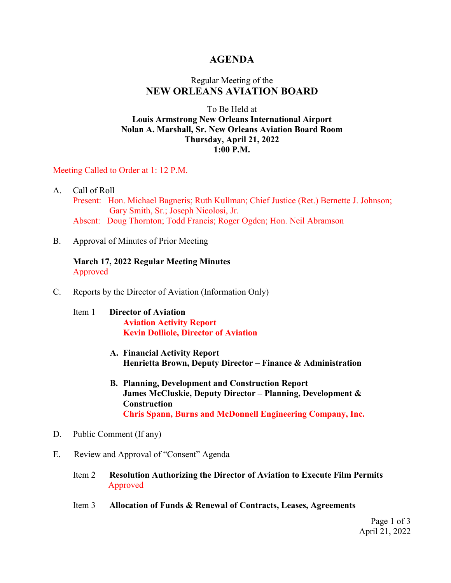### **AGENDA**

## Regular Meeting of the **NEW ORLEANS AVIATION BOARD**

### To Be Held at **Louis Armstrong New Orleans International Airport Nolan A. Marshall, Sr. New Orleans Aviation Board Room Thursday, April 21, 2022 1:00 P.M.**

#### Meeting Called to Order at 1: 12 P.M.

- A. Call of Roll Present: Hon. Michael Bagneris; Ruth Kullman; Chief Justice (Ret.) Bernette J. Johnson; Gary Smith, Sr.; Joseph Nicolosi, Jr. Absent: Doug Thornton; Todd Francis; Roger Ogden; Hon. Neil Abramson
- B. Approval of Minutes of Prior Meeting

**March 17, 2022 Regular Meeting Minutes** Approved

- C. Reports by the Director of Aviation (Information Only)
	- Item 1 **Director of Aviation Aviation Activity Report Kevin Dolliole, Director of Aviation**
		- **A. Financial Activity Report Henrietta Brown, Deputy Director – Finance & Administration**
		- **B. Planning, Development and Construction Report James McCluskie, Deputy Director – Planning, Development & Construction Chris Spann, Burns and McDonnell Engineering Company, Inc.**
- D. Public Comment (If any)
- E. Review and Approval of "Consent" Agenda
	- Item 2 **Resolution Authorizing the Director of Aviation to Execute Film Permits** Approved
	- Item 3 **Allocation of Funds & Renewal of Contracts, Leases, Agreements**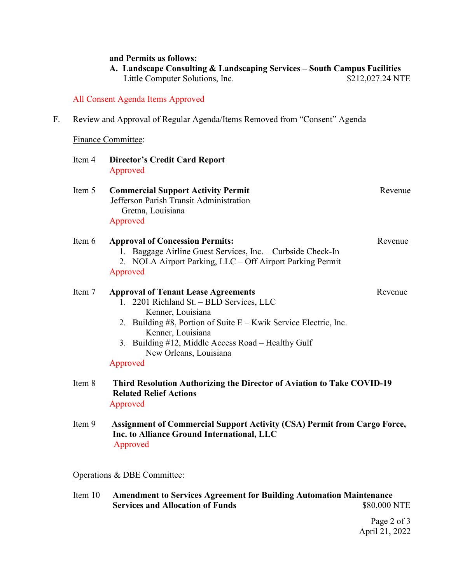#### **and Permits as follows:**

| A. Landscape Consulting & Landscaping Services – South Campus Facilities |                  |
|--------------------------------------------------------------------------|------------------|
| Little Computer Solutions, Inc.                                          | \$212,027.24 NTE |

## All Consent Agenda Items Approved

F. Review and Approval of Regular Agenda/Items Removed from "Consent" Agenda

## Finance Committee:

| Item 4 | <b>Director's Credit Card Report</b><br>Approved                                                                                                                                                                                                                                                    |         |
|--------|-----------------------------------------------------------------------------------------------------------------------------------------------------------------------------------------------------------------------------------------------------------------------------------------------------|---------|
| Item 5 | <b>Commercial Support Activity Permit</b><br>Jefferson Parish Transit Administration<br>Gretna, Louisiana<br>Approved                                                                                                                                                                               | Revenue |
| Item 6 | <b>Approval of Concession Permits:</b><br>1. Baggage Airline Guest Services, Inc. - Curbside Check-In<br>2. NOLA Airport Parking, LLC - Off Airport Parking Permit<br>Approved                                                                                                                      | Revenue |
| Item 7 | <b>Approval of Tenant Lease Agreements</b><br>2201 Richland St. - BLD Services, LLC<br>1.<br>Kenner, Louisiana<br>2. Building #8, Portion of Suite E – Kwik Service Electric, Inc.<br>Kenner, Louisiana<br>3. Building #12, Middle Access Road – Healthy Gulf<br>New Orleans, Louisiana<br>Approved | Revenue |
| Item 8 | Third Resolution Authorizing the Director of Aviation to Take COVID-19<br><b>Related Relief Actions</b><br>Approved                                                                                                                                                                                 |         |
| Item 9 | <b>Assignment of Commercial Support Activity (CSA) Permit from Cargo Force,</b><br>Inc. to Alliance Ground International, LLC<br>Approved                                                                                                                                                           |         |

# Operations & DBE Committee:

Item 10 **Amendment to Services Agreement for Building Automation Maintenance Services and Allocation of Funds** 

> Page 2 of 3 April 21, 2022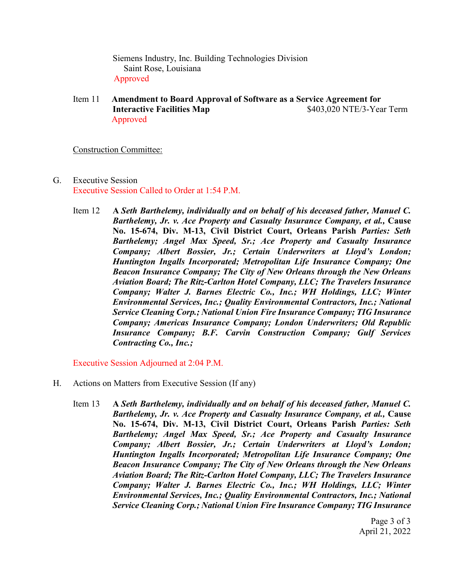Siemens Industry, Inc. Building Technologies Division Saint Rose, Louisiana Approved

Item 11 **Amendment to Board Approval of Software as a Service Agreement for Interactive Facilities Map**  $$403,020$  NTE/3-Year Term Approved

#### Construction Committee:

- G. Executive Session Executive Session Called to Order at 1:54 P.M.
	- Item 12 **A** *Seth Barthelemy, individually and on behalf of his deceased father, Manuel C. Barthelemy, Jr. v. Ace Property and Casualty Insurance Company, et al.,* **Cause No. 15-674, Div. M-13, Civil District Court, Orleans Parish** *Parties: Seth Barthelemy; Angel Max Speed, Sr.; Ace Property and Casualty Insurance Company; Albert Bossier, Jr.; Certain Underwriters at Lloyd's London; Huntington Ingalls Incorporated; Metropolitan Life Insurance Company; One Beacon Insurance Company; The City of New Orleans through the New Orleans Aviation Board; The Ritz-Carlton Hotel Company, LLC; The Travelers Insurance Company; Walter J. Barnes Electric Co., Inc.; WH Holdings, LLC; Winter Environmental Services, Inc.; Quality Environmental Contractors, Inc.; National Service Cleaning Corp.; National Union Fire Insurance Company; TIG Insurance Company; Americas Insurance Company; London Underwriters; Old Republic Insurance Company; B.F. Carvin Construction Company; Gulf Services Contracting Co., Inc.;*

Executive Session Adjourned at 2:04 P.M.

- H. Actions on Matters from Executive Session (If any)
	- Item 13 **A** *Seth Barthelemy, individually and on behalf of his deceased father, Manuel C. Barthelemy, Jr. v. Ace Property and Casualty Insurance Company, et al.,* **Cause No. 15-674, Div. M-13, Civil District Court, Orleans Parish** *Parties: Seth Barthelemy; Angel Max Speed, Sr.; Ace Property and Casualty Insurance Company; Albert Bossier, Jr.; Certain Underwriters at Lloyd's London; Huntington Ingalls Incorporated; Metropolitan Life Insurance Company; One Beacon Insurance Company; The City of New Orleans through the New Orleans Aviation Board; The Ritz-Carlton Hotel Company, LLC; The Travelers Insurance Company; Walter J. Barnes Electric Co., Inc.; WH Holdings, LLC; Winter Environmental Services, Inc.; Quality Environmental Contractors, Inc.; National Service Cleaning Corp.; National Union Fire Insurance Company; TIG Insurance*

Page 3 of 3 April 21, 2022